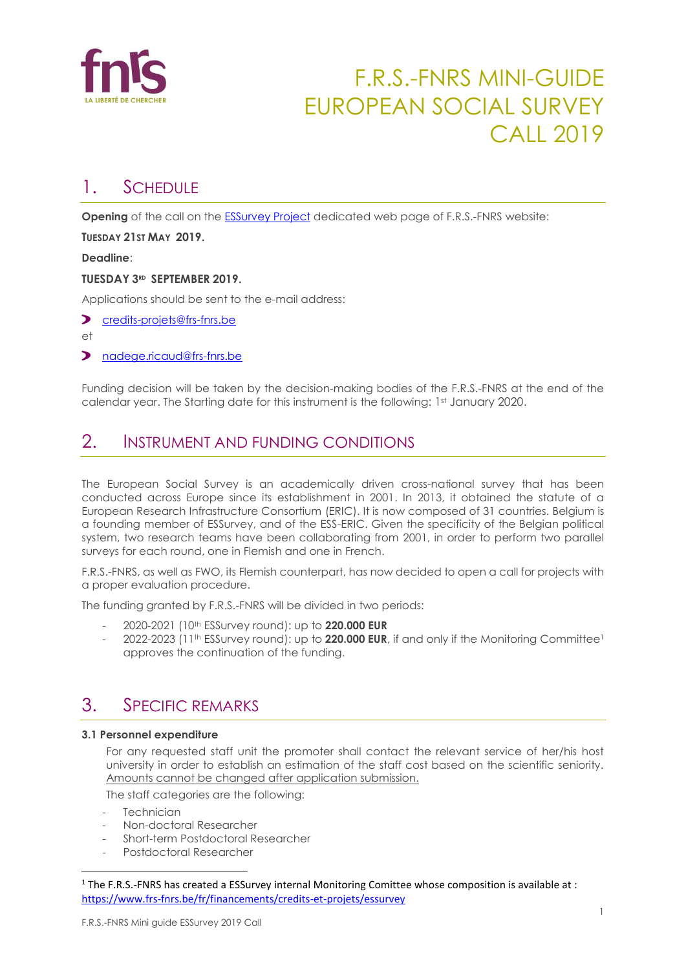

## F.R.S.-FNRS MINI-GUIDE EUROPEAN SOCIAL SURVEY CALL 2019

## 1. SCHEDULE

**Opening** of the call on the [ESSurvey Project](http://www.frs-fnrs.be/ESSurvey) dedicated web page of F.R.S.-FNRS website:

**TUESDAY 21ST MAY 2019.**

**Deadline**:

#### **TUESDAY 3RD SEPTEMBER 2019.**

Applications should be sent to the e-mail address:

- [credits-projets@frs-fnrs.be](mailto:credits-projets@frs-fnrs.be)
- et
- [nadege.ricaud@frs-fnrs.be](mailto:nadege.ricaud@frs-fnrs.be)

Funding decision will be taken by the decision-making bodies of the F.R.S.-FNRS at the end of the calendar year. The Starting date for this instrument is the following: 1st January 2020.

## 2. INSTRUMENT AND FUNDING CONDITIONS

The European Social Survey is an academically driven cross-national survey that has been conducted across Europe since its establishment in 2001. In 2013, it obtained the statute of a European Research Infrastructure Consortium (ERIC). It is now composed of 31 countries. Belgium is a founding member of ESSurvey, and of the ESS-ERIC. Given the specificity of the Belgian political system, two research teams have been collaborating from 2001, in order to perform two parallel surveys for each round, one in Flemish and one in French.

F.R.S.-FNRS, as well as FWO, its Flemish counterpart, has now decided to open a call for projects with a proper evaluation procedure.

The funding granted by F.R.S.-FNRS will be divided in two periods:

- 2020-2021 (10th ESSurvey round): up to **220.000 EUR**
- 2022-2023 (11<sup>th</sup> ESSurvey round): up to **220.000 EUR**, if and only if the Monitoring Committee<sup>1</sup> approves the continuation of the funding.

## 3. SPECIFIC REMARKS

#### **3.1 Personnel expenditure**

For any requested staff unit the promoter shall contact the relevant service of her/his host university in order to establish an estimation of the staff cost based on the scientific seniority. Amounts cannot be changed after application submission.

The staff categories are the following:

- Technician

l

- Non-doctoral Researcher
- Short-term Postdoctoral Researcher
- Postdoctoral Researcher

<sup>1</sup> The F.R.S.-FNRS has created a ESSurvey internal Monitoring Comittee whose composition is available at : <https://www.frs-fnrs.be/fr/financements/credits-et-projets/essurvey>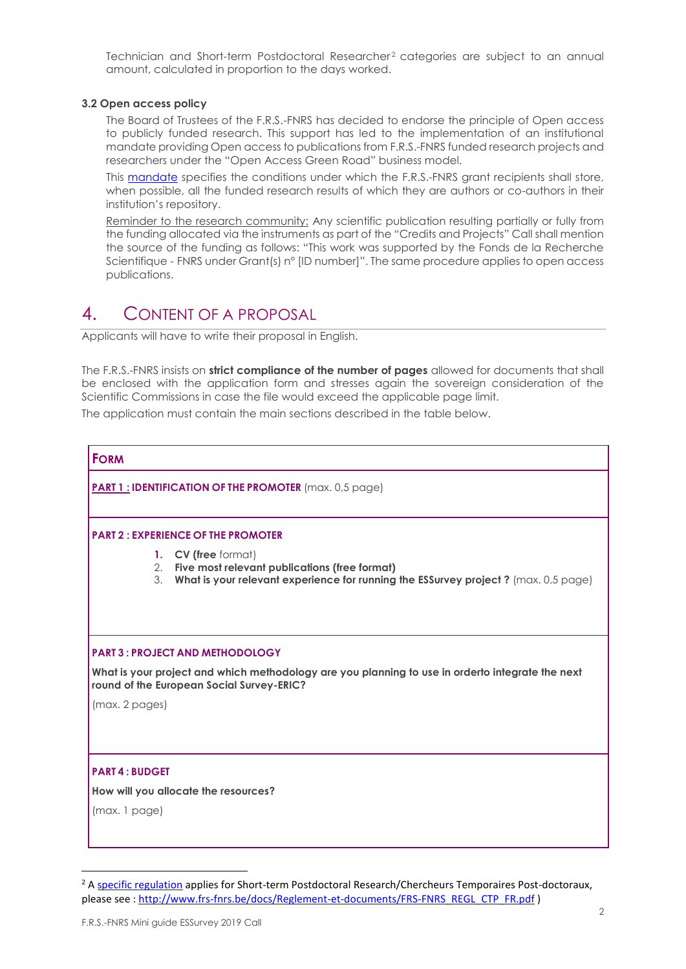Technician and Short-term Postdoctoral Researcher<sup>2</sup> categories are subject to an annual amount, calculated in proportion to the days worked.

#### **3.2 Open access policy**

The Board of Trustees of the F.R.S.-FNRS has decided to endorse the principle of Open access to publicly funded research. This support has led to the implementation of an institutional mandate providing Open access to publications from F.R.S.-FNRS funded research projects and researchers under the "Open Access Green Road" business model.

This [mandate](http://www.fnrs.be/docs/Reglement_OPEN_ACCESS_EN.pdf) specifies the conditions under which the F.R.S.-FNRS grant recipients shall store, when possible, all the funded research results of which they are authors or co-authors in their institution's repository.

Reminder to the research community: Any scientific publication resulting partially or fully from the funding allocated via the instruments as part of the "Credits and Projects" Call shall mention the source of the funding as follows: "This work was supported by the Fonds de la Recherche Scientifique - FNRS under Grant(s) n° [ID number]". The same procedure applies to open access publications.

## 4. CONTENT OF A PROPOSAL

Applicants will have to write their proposal in English.

The F.R.S.-FNRS insists on **strict compliance of the number of pages** allowed for documents that shall be enclosed with the application form and stresses again the sovereign consideration of the Scientific Commissions in case the file would exceed the applicable page limit.

The application must contain the main sections described in the table below.

# **FORM PART 1 : IDENTIFICATION OF THE PROMOTER** (max. 0,5 page) **PART 2 : EXPERIENCE OF THE PROMOTER 1. CV (free** format) 2. **Five most relevant publications (free format)** 3. **What is your relevant experience for running the ESSurvey project ?** (max. 0,5 page) **PART 3 : PROJECT AND METHODOLOGY What is your project and which methodology are you planning to use in orderto integrate the next round of the European Social Survey-ERIC?** (max. 2 pages) **PART 4 : BUDGET How will you allocate the resources?**  (max. 1 page)

l

<sup>&</sup>lt;sup>2</sup> [A specific regulation](http://www.frs-fnrs.be/docs/Reglement-et-documents/FRS-FNRS_REGL_CTP_FR.pdf) applies for Short-term Postdoctoral Research/Chercheurs Temporaires Post-doctoraux, please see [: http://www.frs-fnrs.be/docs/Reglement-et-documents/FRS-FNRS\\_REGL\\_CTP\\_FR.pdf](http://www.frs-fnrs.be/docs/Reglement-et-documents/FRS-FNRS_REGL_CTP_FR.pdf) )